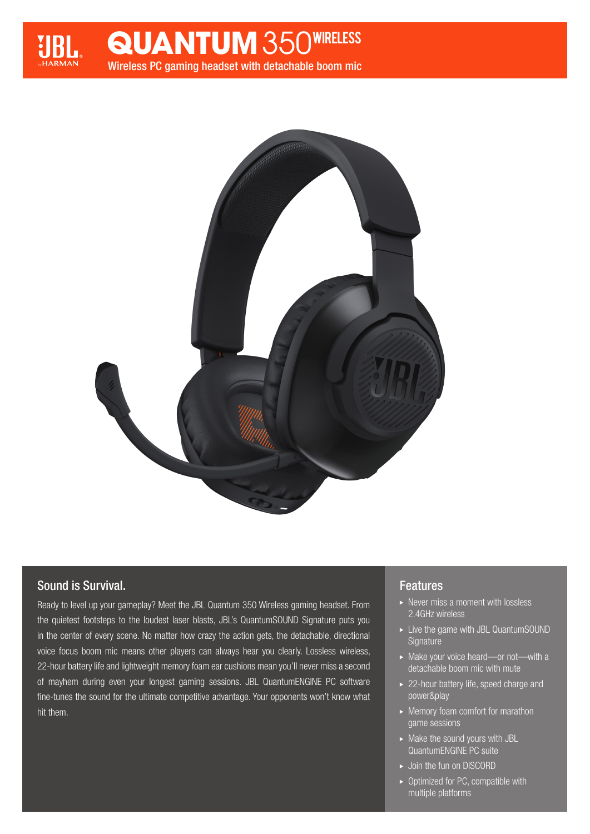

Wireless PC gaming headset with detachable boom mic **QUANTUM** 350WIRELESS



# Sound is Survival.

Ready to level up your gameplay? Meet the JBL Quantum 350 Wireless gaming headset. From the quietest footsteps to the loudest laser blasts, JBL's QuantumSOUND Signature puts you in the center of every scene. No matter how crazy the action gets, the detachable, directional voice focus boom mic means other players can always hear you clearly. Lossless wireless, 22-hour battery life and lightweight memory foam ear cushions mean you'll never miss a second of mayhem during even your longest gaming sessions. JBL QuantumENGINE PC software fine-tunes the sound for the ultimate competitive advantage. Your opponents won't know what hit them.

## Features

- $\triangleright$  Never miss a moment with lossless 2.4GHz wireless
- ► Live the game with JBL QuantumSOUND **Signature**
- ▶ Make your voice heard—or not—with a detachable boom mic with mute
- ▶ 22-hour battery life, speed charge and power&play
- Memory foam comfort for marathon game sessions
- $\blacktriangleright$  Make the sound yours with JBL QuantumENGINE PC suite
- ► Join the fun on DISCORD
- $\triangleright$  Optimized for PC, compatible with multiple platforms